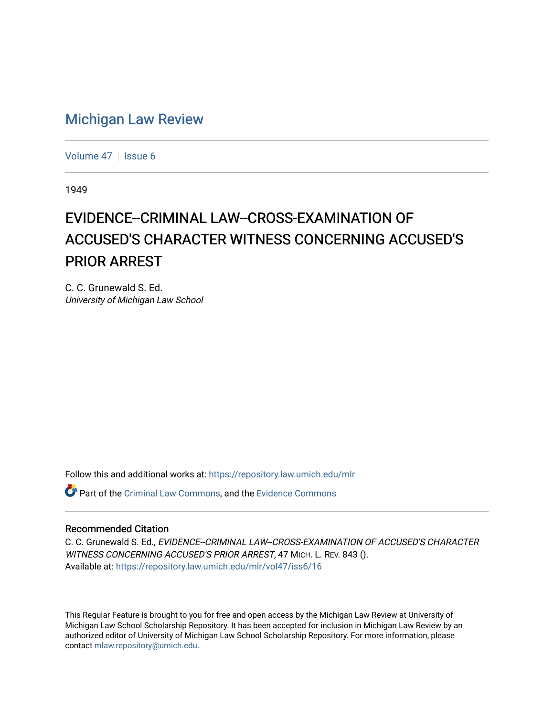## [Michigan Law Review](https://repository.law.umich.edu/mlr)

[Volume 47](https://repository.law.umich.edu/mlr/vol47) | [Issue 6](https://repository.law.umich.edu/mlr/vol47/iss6)

1949

## EVIDENCE--CRIMINAL LAW--CROSS-EXAMINATION OF ACCUSED'S CHARACTER WITNESS CONCERNING ACCUSED'S PRIOR ARREST

C. C. Grunewald S. Ed. University of Michigan Law School

Follow this and additional works at: [https://repository.law.umich.edu/mlr](https://repository.law.umich.edu/mlr?utm_source=repository.law.umich.edu%2Fmlr%2Fvol47%2Fiss6%2F16&utm_medium=PDF&utm_campaign=PDFCoverPages) 

Part of the [Criminal Law Commons,](http://network.bepress.com/hgg/discipline/912?utm_source=repository.law.umich.edu%2Fmlr%2Fvol47%2Fiss6%2F16&utm_medium=PDF&utm_campaign=PDFCoverPages) and the [Evidence Commons](http://network.bepress.com/hgg/discipline/601?utm_source=repository.law.umich.edu%2Fmlr%2Fvol47%2Fiss6%2F16&utm_medium=PDF&utm_campaign=PDFCoverPages) 

## Recommended Citation

C. C. Grunewald S. Ed., EVIDENCE--CRIMINAL LAW--CROSS-EXAMINATION OF ACCUSED'S CHARACTER WITNESS CONCERNING ACCUSED'S PRIOR ARREST, 47 MICH. L. REV. 843 (). Available at: [https://repository.law.umich.edu/mlr/vol47/iss6/16](https://repository.law.umich.edu/mlr/vol47/iss6/16?utm_source=repository.law.umich.edu%2Fmlr%2Fvol47%2Fiss6%2F16&utm_medium=PDF&utm_campaign=PDFCoverPages) 

This Regular Feature is brought to you for free and open access by the Michigan Law Review at University of Michigan Law School Scholarship Repository. It has been accepted for inclusion in Michigan Law Review by an authorized editor of University of Michigan Law School Scholarship Repository. For more information, please contact [mlaw.repository@umich.edu](mailto:mlaw.repository@umich.edu).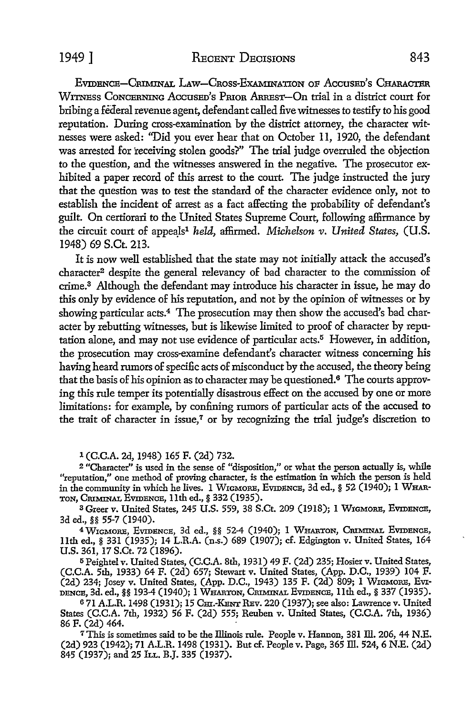EVIDENCE-CRIMINAL LAW-CROSS-EXAMINATION OF ACCUSED'S CHARACTER WITNESS CONCERNING ACCUSED'S PRIOR ARREST-On trial in a district court for bribing a federal revenue agent, defendant called five witnesses to testify to his good reputation. During cross-examination by the district attorney, the character witnesses were asked: *''Did* you ever hear that on October 11, 1920, the defendant was arrested for receiving stolen goods?" The trial judge overruled the objection to the question, and the witnesses answered in the negative. The prosecutor exhibited a paper record of this arrest to the court. The judge instructed the jury that the question was to test the standard of the character evidence only, not to establish the incident of arrest as a fact affecting the probability of defendant's guilt. On certiorari to the United States Supreme Court, following affirmance by the circuit court of appeals<sup>1</sup> held, affirmed. *Michelson v. United States*, *(U.S.* 1948) 69 S.Ct. 213.

It is now well established that the state may not initially attack the accused's character<sup>2</sup> despite the general relevancy of bad character to the commission of crime.3 Although the defendant may introduce his character in issue, he may do this only by evidence of his reputation, and not by the opinion of witnesses or by showing particular acts.<sup>4</sup> The prosecution may then show the accused's bad character by rebutting witnesses, but is likewise limited to proof of character by reputation alone, and may not use evidence of particular  $acts<sup>5</sup>$  However, in addition, the prosecution may cross-examine defendant's character witness concerning his having heard rumors of specific acts of misconduct by the accused, the theory being that the basis of his opinion as to character may be questioned. 6 The courts approving this rule temper its potentially disastrous effect on the accused by one or more limitations: for example, by confining rumors of particular acts of the accused to the trait of character in issue,<sup> $7$ </sup> or by recognizing the trial judge's discretion to

1 (C.C.A. 2d, 1948) 165 F. (2d) 732.

<sup>2</sup>"Character" is used in the sense of "disposition,'' or what the person actually is, while "reputation," one method of proving character, is the estimation in which the person is held in the community in which he lives. I WIGMORE, EVIDENCE, 3d ed., § 52 (1940); 1 WHAR-TON, CRIMINAL EVIDENCE, I Ith ed.,§ 332 (1935).

<sup>3</sup>Greer v. United States, 245 U.S. 559, 38 S.Ct. 209 (1918); I WIGMORE, EVIDENCE, 3d ed., §§ 55-7 (1940).

<sup>4</sup>WmMORE, EVIDENCE, 3d ed., §§ 52-4 (1940); 1 WHARTON, CRIMINAL EVIDENCE, 11th ed., § 331 (1935); 14 L.R.A. (n.s.) 689 (1907); cf. Edgington v. United States, 164 U.S. 361, 17 S.Ct. 72 (1896).

<sup>5</sup>Peightel v. United States, (C.C.A. 8th, 1931) 49 F. (2d) 235; Hosier v. United States, (C.C.A. 5th, 1933) 64 F. (2d) 657; Stewart v. United States, (App. D.C., 1939) 104 F. (2d) 234; Josey v. United States, (App. D.C., 1943) 135 F. (2d) 809; 1 WIGMORE, EvI-DENCE, 3d. ed., §§ 193-4 (1940); 1 WHARTON, CRIMINAL EVIDENCE, 11th ed., § 337 (1935).

6 71 A.L.R. 1498 (1931); 15 Cm.-KENT REv. 220 (1937); see also: Lawrence v. United States (C.C.A. 7th, 1932) 56 F. (2d) 555; Reuben v. United States, (C.C.A. 7th, 1936) 86 F. (2d) 464.

7This is sometimes said to be the Illinois rule. People v. Hannon, 381 ill. 206, 44 N.E. (2d) 923 (1942); 71 A.L.R. 1498 (1931). But cf. People v. Page, 365 ill. 524, 6 N.E. (2d) 845 (1937); and 25 ILL. B.J. 335 (1937).